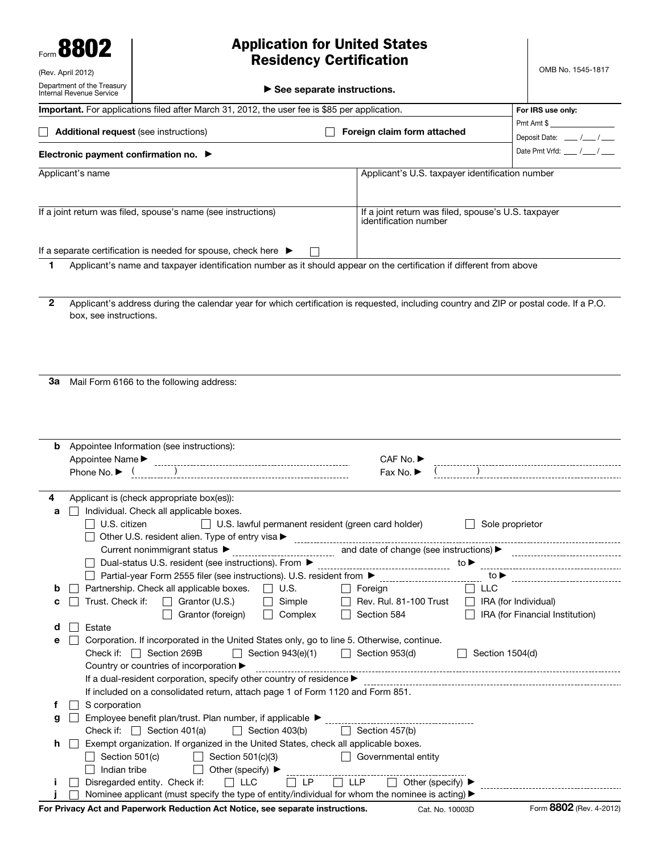Form **8802** (Rev. April 2012)

## **Application for United States Residency Certification**

| Department of the Treasury<br>Internal Revenue Service                                        |                        | $\blacktriangleright$ See separate instructions.                                                                                       |                                                 |                                                                              |                                |                                 |  |  |
|-----------------------------------------------------------------------------------------------|------------------------|----------------------------------------------------------------------------------------------------------------------------------------|-------------------------------------------------|------------------------------------------------------------------------------|--------------------------------|---------------------------------|--|--|
| Important. For applications filed after March 31, 2012, the user fee is \$85 per application. |                        |                                                                                                                                        |                                                 |                                                                              | For IRS use only:              |                                 |  |  |
|                                                                                               |                        | <b>Additional request</b> (see instructions)                                                                                           | Foreign claim form attached                     | $Pmt$ Amt $\frac{m}{2}$                                                      |                                |                                 |  |  |
|                                                                                               |                        |                                                                                                                                        |                                                 |                                                                              | Deposit Date: ___ /___/__      |                                 |  |  |
|                                                                                               |                        | Electronic payment confirmation no. $\blacktriangleright$                                                                              |                                                 |                                                                              |                                | Date Pmt Vrfd: ___ /___/__      |  |  |
|                                                                                               | Applicant's name       |                                                                                                                                        | Applicant's U.S. taxpayer identification number |                                                                              |                                |                                 |  |  |
|                                                                                               |                        |                                                                                                                                        |                                                 |                                                                              |                                |                                 |  |  |
|                                                                                               |                        | If a joint return was filed, spouse's name (see instructions)                                                                          |                                                 |                                                                              |                                |                                 |  |  |
|                                                                                               |                        |                                                                                                                                        |                                                 | If a joint return was filed, spouse's U.S. taxpayer<br>identification number |                                |                                 |  |  |
|                                                                                               |                        |                                                                                                                                        |                                                 |                                                                              |                                |                                 |  |  |
|                                                                                               |                        | If a separate certification is needed for spouse, check here $\blacktriangleright$                                                     |                                                 |                                                                              |                                |                                 |  |  |
| 1                                                                                             |                        | Applicant's name and taxpayer identification number as it should appear on the certification if different from above                   |                                                 |                                                                              |                                |                                 |  |  |
|                                                                                               |                        |                                                                                                                                        |                                                 |                                                                              |                                |                                 |  |  |
|                                                                                               |                        |                                                                                                                                        |                                                 |                                                                              |                                |                                 |  |  |
| $\mathbf{2}$                                                                                  |                        | Applicant's address during the calendar year for which certification is requested, including country and ZIP or postal code. If a P.O. |                                                 |                                                                              |                                |                                 |  |  |
|                                                                                               | box, see instructions. |                                                                                                                                        |                                                 |                                                                              |                                |                                 |  |  |
|                                                                                               |                        |                                                                                                                                        |                                                 |                                                                              |                                |                                 |  |  |
|                                                                                               |                        |                                                                                                                                        |                                                 |                                                                              |                                |                                 |  |  |
|                                                                                               |                        |                                                                                                                                        |                                                 |                                                                              |                                |                                 |  |  |
|                                                                                               |                        |                                                                                                                                        |                                                 |                                                                              |                                |                                 |  |  |
| За                                                                                            |                        | Mail Form 6166 to the following address:                                                                                               |                                                 |                                                                              |                                |                                 |  |  |
|                                                                                               |                        |                                                                                                                                        |                                                 |                                                                              |                                |                                 |  |  |
|                                                                                               |                        |                                                                                                                                        |                                                 |                                                                              |                                |                                 |  |  |
|                                                                                               |                        |                                                                                                                                        |                                                 |                                                                              |                                |                                 |  |  |
|                                                                                               |                        |                                                                                                                                        |                                                 |                                                                              |                                |                                 |  |  |
|                                                                                               |                        | <b>b</b> Appointee Information (see instructions):                                                                                     |                                                 |                                                                              |                                |                                 |  |  |
|                                                                                               |                        |                                                                                                                                        |                                                 | CAF No. ▶                                                                    |                                |                                 |  |  |
|                                                                                               |                        |                                                                                                                                        |                                                 | Fax No. $\blacktriangleright$                                                |                                |                                 |  |  |
|                                                                                               |                        |                                                                                                                                        |                                                 |                                                                              |                                |                                 |  |  |
| 4                                                                                             |                        | Applicant is (check appropriate box(es)):                                                                                              |                                                 |                                                                              |                                |                                 |  |  |
| а                                                                                             |                        | Individual. Check all applicable boxes.                                                                                                |                                                 |                                                                              |                                |                                 |  |  |
|                                                                                               | $\Box$ U.S. citizen    | $\Box$ U.S. lawful permanent resident (green card holder)                                                                              |                                                 |                                                                              | Sole proprietor                |                                 |  |  |
|                                                                                               |                        | Other U.S. resident alien. Type of entry visa ▶ ________________                                                                       |                                                 |                                                                              |                                |                                 |  |  |
|                                                                                               |                        |                                                                                                                                        |                                                 |                                                                              |                                |                                 |  |  |
|                                                                                               |                        | □ Dual-status U.S. resident (see instructions). From ▶                                                                                 |                                                 |                                                                              |                                |                                 |  |  |
|                                                                                               |                        | Partial-year Form 2555 filer (see instructions). U.S. resident from ▶                                                                  |                                                 |                                                                              | to ▶                           |                                 |  |  |
| b                                                                                             |                        | Partnership. Check all applicable boxes.<br>$\Box$ U.S.                                                                                | $\Box$                                          | Foreign                                                                      | $\Box$<br>LLC                  |                                 |  |  |
| с                                                                                             | Trust. Check if:       | $\Box$ Grantor (U.S.)<br>$\Box$                                                                                                        | Simple                                          | Rev. Rul. 81-100 Trust                                                       | $\Box$<br>IRA (for Individual) |                                 |  |  |
|                                                                                               |                        | Grantor (foreign)<br>$\Box$                                                                                                            | Complex                                         | Section 584                                                                  |                                | IRA (for Financial Institution) |  |  |
| d                                                                                             | Estate                 |                                                                                                                                        |                                                 |                                                                              |                                |                                 |  |  |
| е                                                                                             |                        | Corporation. If incorporated in the United States only, go to line 5. Otherwise, continue.                                             |                                                 |                                                                              |                                |                                 |  |  |
|                                                                                               |                        | Check if: Section 269B<br>Section 943(e)(1)<br>$\perp$                                                                                 |                                                 | $\Box$ Section 953(d)                                                        | Section 1504(d)                |                                 |  |  |
|                                                                                               |                        | Country or countries of incorporation ▶                                                                                                |                                                 |                                                                              |                                |                                 |  |  |
|                                                                                               |                        | If a dual-resident corporation, specify other country of residence >                                                                   |                                                 |                                                                              |                                |                                 |  |  |
|                                                                                               |                        | If included on a consolidated return, attach page 1 of Form 1120 and Form 851.                                                         |                                                 |                                                                              |                                |                                 |  |  |
| f.                                                                                            | S corporation          |                                                                                                                                        |                                                 |                                                                              |                                |                                 |  |  |
| g                                                                                             |                        | Employee benefit plan/trust. Plan number, if applicable ▶                                                                              |                                                 |                                                                              |                                |                                 |  |  |
|                                                                                               |                        | Check if: $\Box$ Section 401(a)<br>$\Box$ Section 403(b)                                                                               | $\perp$                                         | Section 457(b)                                                               |                                |                                 |  |  |
| h                                                                                             |                        | Exempt organization. If organized in the United States, check all applicable boxes.                                                    |                                                 |                                                                              |                                |                                 |  |  |
|                                                                                               | Section 501(c)         | Section 501(c)(3)                                                                                                                      |                                                 | Governmental entity                                                          |                                |                                 |  |  |
|                                                                                               | Indian tribe           | $\vert \ \ \vert$<br>Other (specify) $\blacktriangleright$                                                                             |                                                 |                                                                              |                                |                                 |  |  |
|                                                                                               |                        | Disregarded entity. Check if:<br>$\Box$ LLC                                                                                            | $\Box$ LP<br>$\Box$ LLP                         | Other (specify) ▶<br>$\perp$                                                 |                                |                                 |  |  |
|                                                                                               |                        | Nominee applicant (must specify the type of entity/individual for whom the nominee is acting) ▶                                        |                                                 |                                                                              |                                |                                 |  |  |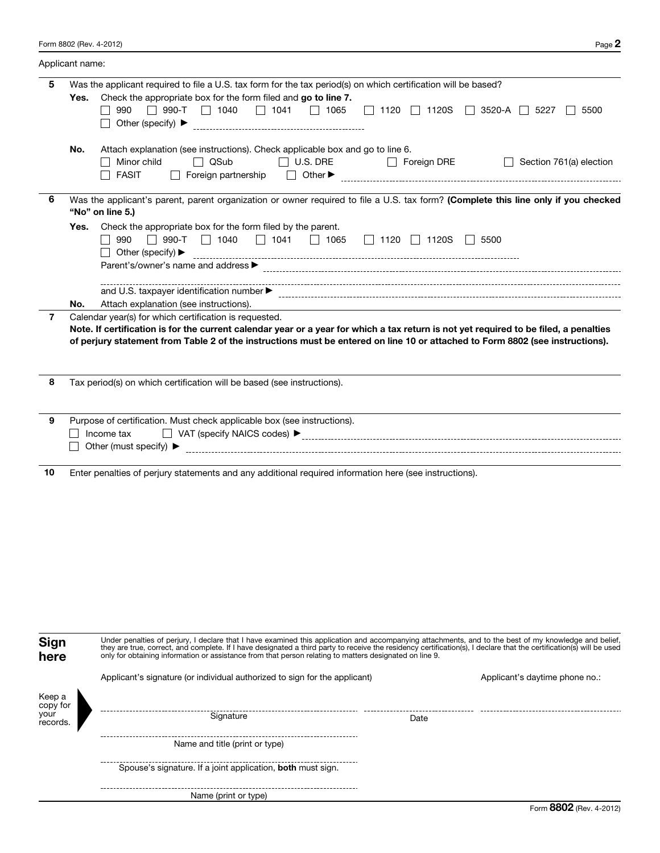|    | Applicant name:                                                                                                                                                                                                                                                                                                                  |  |
|----|----------------------------------------------------------------------------------------------------------------------------------------------------------------------------------------------------------------------------------------------------------------------------------------------------------------------------------|--|
| 5  | Was the applicant required to file a U.S. tax form for the tax period(s) on which certification will be based?<br>Check the appropriate box for the form filed and go to line 7.<br>Yes.<br>$\Box$ 990-T $\Box$ 1040 $\Box$ 1041 $\Box$ 1065 $\Box$ 1120 $\Box$ 1120S $\Box$ 3520-A $\Box$ 5227<br>990<br>5500                   |  |
|    | Attach explanation (see instructions). Check applicable box and go to line 6.<br>No.<br>$\Box$ QSub<br>Minor child<br>$\Box$ U.S. DRE $\Box$ Foreign DRE<br>$\Box$ Section 761(a) election<br><b>FASIT</b><br>$\perp$                                                                                                            |  |
| 6  | Was the applicant's parent, parent organization or owner required to file a U.S. tax form? (Complete this line only if you checked<br>"No" on line 5.)                                                                                                                                                                           |  |
|    | Check the appropriate box for the form filed by the parent.<br>Yes.<br>$\Box$ 990-T $\Box$ 1040 $\Box$ 1041 $\Box$ 1065 $\Box$ 1120 $\Box$ 1120S $\Box$ 5500<br>990<br>Other (specify) $\blacktriangleright$<br>$\mathsf{L}$                                                                                                     |  |
|    |                                                                                                                                                                                                                                                                                                                                  |  |
|    | Attach explanation (see instructions).<br>No.<br>and the control of the control of the control of the control of the control of the control of the control of the                                                                                                                                                                |  |
| 7  | Calendar year(s) for which certification is requested.<br>Note. If certification is for the current calendar year or a year for which a tax return is not yet required to be filed, a penalties<br>of perjury statement from Table 2 of the instructions must be entered on line 10 or attached to Form 8802 (see instructions). |  |
| 8  | Tax period(s) on which certification will be based (see instructions).                                                                                                                                                                                                                                                           |  |
| 9  | Purpose of certification. Must check applicable box (see instructions).<br>Income tax<br>Other (must specify) $\blacktriangleright$                                                                                                                                                                                              |  |
| 10 | Enter penalties of perjury statements and any additional required information here (see instructions).                                                                                                                                                                                                                           |  |

| Under penalties of perjury, I declare that I have examined this application and accompanying attachments, and to the best of my knowledge and belief,<br>Sign<br>they are true, correct, and complete. If I have designated a third party to receive the residency certification(s), I declare that the certification(s) will be used<br>only for obtaining information or assistance from that person relating to matters designated on line 9.<br>here |                                                                            |      |                                |  |  |  |  |
|----------------------------------------------------------------------------------------------------------------------------------------------------------------------------------------------------------------------------------------------------------------------------------------------------------------------------------------------------------------------------------------------------------------------------------------------------------|----------------------------------------------------------------------------|------|--------------------------------|--|--|--|--|
|                                                                                                                                                                                                                                                                                                                                                                                                                                                          | Applicant's signature (or individual authorized to sign for the applicant) |      | Applicant's daytime phone no.: |  |  |  |  |
| Keep a<br>copy for<br>your<br>records.                                                                                                                                                                                                                                                                                                                                                                                                                   | Signature                                                                  | Date |                                |  |  |  |  |
|                                                                                                                                                                                                                                                                                                                                                                                                                                                          | Name and title (print or type)                                             |      |                                |  |  |  |  |
|                                                                                                                                                                                                                                                                                                                                                                                                                                                          | Spouse's signature. If a joint application, both must sign.                |      |                                |  |  |  |  |
|                                                                                                                                                                                                                                                                                                                                                                                                                                                          | Name (print or type)                                                       |      |                                |  |  |  |  |